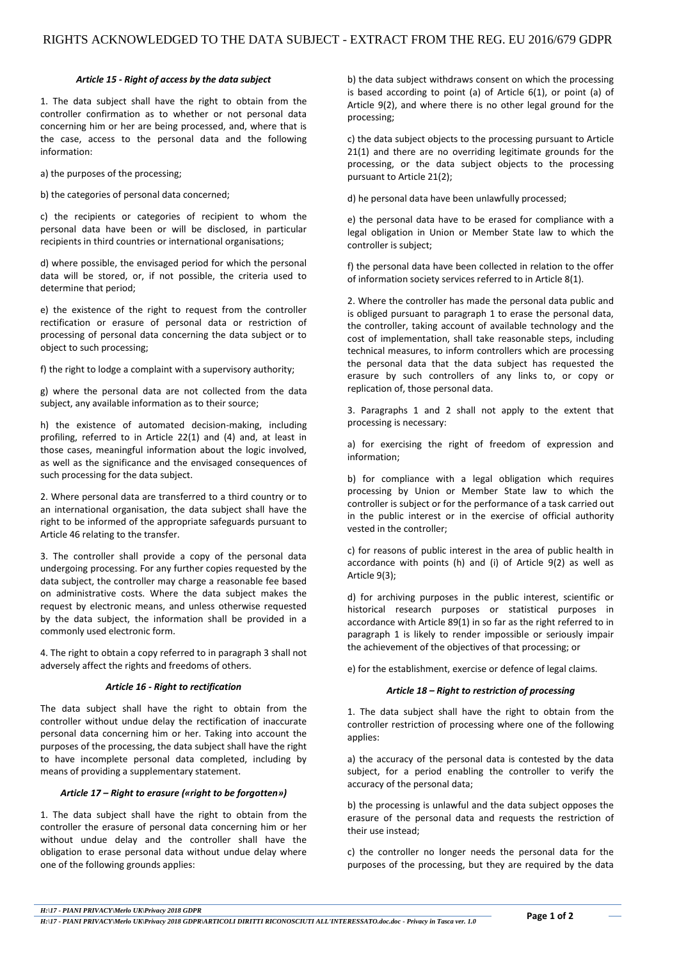#### *Article 15 - Right of access by the data subject*

1. The data subject shall have the right to obtain from the controller confirmation as to whether or not personal data concerning him or her are being processed, and, where that is the case, access to the personal data and the following information:

a) the purposes of the processing;

b) the categories of personal data concerned;

c) the recipients or categories of recipient to whom the personal data have been or will be disclosed, in particular recipients in third countries or international organisations;

d) where possible, the envisaged period for which the personal data will be stored, or, if not possible, the criteria used to determine that period;

e) the existence of the right to request from the controller rectification or erasure of personal data or restriction of processing of personal data concerning the data subject or to object to such processing;

f) the right to lodge a complaint with a supervisory authority;

g) where the personal data are not collected from the data subject, any available information as to their source;

h) the existence of automated decision-making, including profiling, referred to in Article 22(1) and (4) and, at least in those cases, meaningful information about the logic involved, as well as the significance and the envisaged consequences of such processing for the data subject.

2. Where personal data are transferred to a third country or to an international organisation, the data subject shall have the right to be informed of the appropriate safeguards pursuant to Article 46 relating to the transfer.

3. The controller shall provide a copy of the personal data undergoing processing. For any further copies requested by the data subject, the controller may charge a reasonable fee based on administrative costs. Where the data subject makes the request by electronic means, and unless otherwise requested by the data subject, the information shall be provided in a commonly used electronic form.

4. The right to obtain a copy referred to in paragraph 3 shall not adversely affect the rights and freedoms of others.

# *Article 16 - Right to rectification*

The data subject shall have the right to obtain from the controller without undue delay the rectification of inaccurate personal data concerning him or her. Taking into account the purposes of the processing, the data subject shall have the right to have incomplete personal data completed, including by means of providing a supplementary statement.

# *Article 17 – Right to erasure («right to be forgotten»)*

1. The data subject shall have the right to obtain from the controller the erasure of personal data concerning him or her without undue delay and the controller shall have the obligation to erase personal data without undue delay where one of the following grounds applies:

b) the data subject withdraws consent on which the processing is based according to point (a) of Article 6(1), or point (a) of Article 9(2), and where there is no other legal ground for the processing;

c) the data subject objects to the processing pursuant to Article 21(1) and there are no overriding legitimate grounds for the processing, or the data subject objects to the processing pursuant to Article 21(2);

d) he personal data have been unlawfully processed;

e) the personal data have to be erased for compliance with a legal obligation in Union or Member State law to which the controller is subject;

f) the personal data have been collected in relation to the offer of information society services referred to in Article 8(1).

2. Where the controller has made the personal data public and is obliged pursuant to paragraph 1 to erase the personal data, the controller, taking account of available technology and the cost of implementation, shall take reasonable steps, including technical measures, to inform controllers which are processing the personal data that the data subject has requested the erasure by such controllers of any links to, or copy or replication of, those personal data.

3. Paragraphs 1 and 2 shall not apply to the extent that processing is necessary:

a) for exercising the right of freedom of expression and information;

b) for compliance with a legal obligation which requires processing by Union or Member State law to which the controller is subject or for the performance of a task carried out in the public interest or in the exercise of official authority vested in the controller;

c) for reasons of public interest in the area of public health in accordance with points (h) and (i) of Article 9(2) as well as Article 9(3);

d) for archiving purposes in the public interest, scientific or historical research purposes or statistical purposes in accordance with Article 89(1) in so far as the right referred to in paragraph 1 is likely to render impossible or seriously impair the achievement of the objectives of that processing; or

e) for the establishment, exercise or defence of legal claims.

# *Article 18 – Right to restriction of processing*

1. The data subject shall have the right to obtain from the controller restriction of processing where one of the following applies:

a) the accuracy of the personal data is contested by the data subject, for a period enabling the controller to verify the accuracy of the personal data;

b) the processing is unlawful and the data subject opposes the erasure of the personal data and requests the restriction of their use instead;

c) the controller no longer needs the personal data for the purposes of the processing, but they are required by the data